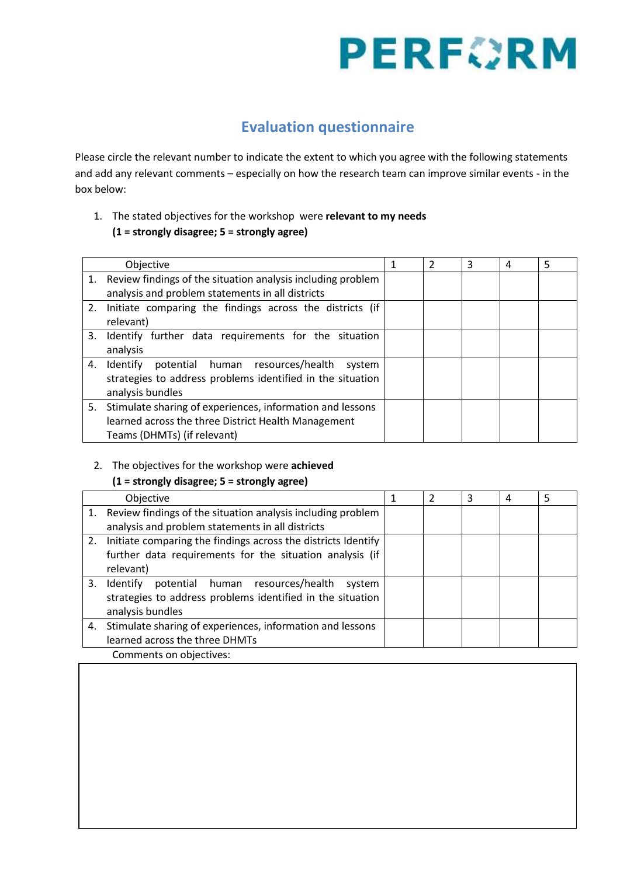# **PERFORM**

### **Evaluation questionnaire**

Please circle the relevant number to indicate the extent to which you agree with the following statements and add any relevant comments – especially on how the research team can improve similar events - in the box below:

#### 1. The stated objectives for the workshop were **relevant to my needs (1 = strongly disagree; 5 = strongly agree)**

|    | Objective                                                      |  | $\mathcal{P}$ | 3 | 4 | 5 |
|----|----------------------------------------------------------------|--|---------------|---|---|---|
|    | 1. Review findings of the situation analysis including problem |  |               |   |   |   |
|    | analysis and problem statements in all districts               |  |               |   |   |   |
| 2. | Initiate comparing the findings across the districts (if       |  |               |   |   |   |
|    | relevant)                                                      |  |               |   |   |   |
| 3. | Identify further data requirements for the situation           |  |               |   |   |   |
|    | analysis                                                       |  |               |   |   |   |
| 4. | potential human resources/health system<br>Identify            |  |               |   |   |   |
|    | strategies to address problems identified in the situation     |  |               |   |   |   |
|    | analysis bundles                                               |  |               |   |   |   |
|    | 5. Stimulate sharing of experiences, information and lessons   |  |               |   |   |   |
|    | learned across the three District Health Management            |  |               |   |   |   |
|    | Teams (DHMTs) (if relevant)                                    |  |               |   |   |   |

#### 2. The objectives for the workshop were **achieved**

#### **(1 = strongly disagree; 5 = strongly agree)**

| Objective                                                        |  | 2 | 3 | 4 | 5 |
|------------------------------------------------------------------|--|---|---|---|---|
| 1. Review findings of the situation analysis including problem   |  |   |   |   |   |
| analysis and problem statements in all districts                 |  |   |   |   |   |
| 2. Initiate comparing the findings across the districts Identify |  |   |   |   |   |
| further data requirements for the situation analysis (if         |  |   |   |   |   |
| relevant)                                                        |  |   |   |   |   |
| 3. Identify<br>potential human resources/health<br>system        |  |   |   |   |   |
| strategies to address problems identified in the situation       |  |   |   |   |   |
| analysis bundles                                                 |  |   |   |   |   |
| 4. Stimulate sharing of experiences, information and lessons     |  |   |   |   |   |
| learned across the three DHMTs                                   |  |   |   |   |   |
| Comments on objectives:                                          |  |   |   |   |   |